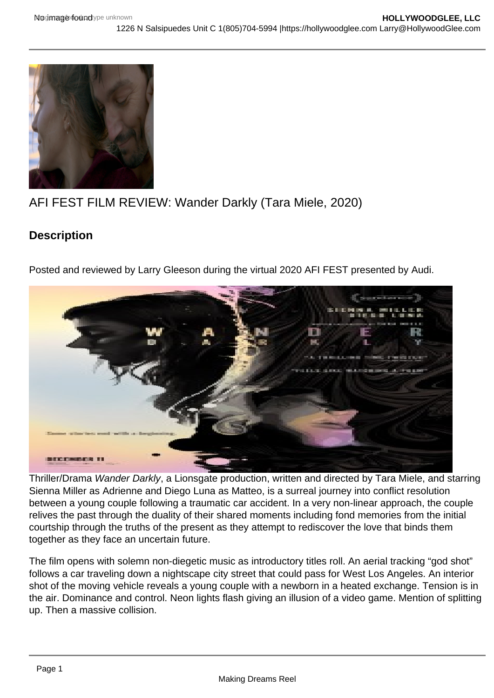## AFI FEST FILM REVIEW: Wander Darkly (Tara Miele, 2020)

**Description** 

Posted and reviewed by Larry Gleeson during the virtual 2020 AFI FEST presented by Audi.

Thriller/Drama Wander Darkly, a Lionsgate production, written and directed by Tara Miele, and starring Sienna Miller as Adrienne and Diego Luna as Matteo, is a surreal journey into conflict resolution between a young couple following a traumatic car accident. In a very non-linear approach, the couple relives the past through the duality of their shared moments including fond memories from the initial courtship through the truths of the present as they attempt to rediscover the love that binds them together as they face an uncertain future.

The film opens with solemn non-diegetic music as introductory titles roll. An aerial tracking "god shot" follows a car traveling down a nightscape city street that could pass for West Los Angeles. An interior shot of the moving vehicle reveals a young couple with a newborn in a heated exchange. Tension is in the air. Dominance and control. Neon lights flash giving an illusion of a video game. Mention of splitting up. Then a massive collision.